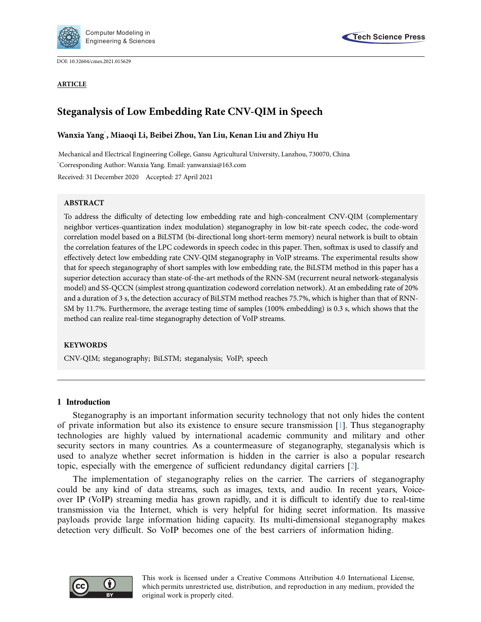

DOI: [10.32604/cmes.2021.015629](http://dx.doi.org/10.32604/cmes.2021.015629)



# **Steganalysis of Low Embedding Rate CNV-QIM in Speech**

# **Wanxia Yan[g\\*](#page-0-0) , Miaoqi Li, Beibei Zhou, Yan Liu, Kenan Liu and Zhiyu Hu**

<span id="page-0-0"></span>Mechanical and Electrical Engineering College, Gansu Agricultural University, Lanzhou, 730070, China \* Corresponding Author: Wanxia Yang. Email: yanwanxia@163.com Received: 31 December 2020 Accepted: 27 April 2021

# **ABSTRACT**

To address the difficulty of detecting low embedding rate and high-concealment CNV-QIM (complementary neighbor vertices-quantization index modulation) steganography in low bit-rate speech codec, the code-word correlation model based on a BiLSTM (bi-directional long short-term memory) neural network is built to obtain the correlation features of the LPC codewords in speech codec in this paper. Then, softmax is used to classify and effectively detect low embedding rate CNV-QIM steganography in VoIP streams. The experimental results show that for speech steganography of short samples with low embedding rate, the BiLSTM method in this paper has a superior detection accuracy than state-of-the-art methods of the RNN-SM (recurrent neural network-steganalysis model) and SS-QCCN (simplest strong quantization codeword correlation network). At an embedding rate of 20% and a duration of 3 s, the detection accuracy of BiLSTM method reaches 75.7%, which is higher than that of RNN-SM by 11.7%. Furthermore, the average testing time of samples (100% embedding) is 0.3 s, which shows that the method can realize real-time steganography detection of VoIP streams.

#### **KEYWORDS**

CNV-QIM; steganography; BiLSTM; steganalysis; VoIP; speech

# **1 Introduction**

Steganography is an important information security technology that not only hides the content of private information but also its existence to ensure secure transmission [\[1](#page-13-0)]. Thus steganography technologies are highly valued by international academic community and military and other security sectors in many countries. As a countermeasure of steganography, steganalysis which is used to analyze whether secret information is hidden in the carrier is also a popular research topic, especially with the emergence of sufficient redundancy digital carriers [\[2\]](#page-13-1).

The implementation of steganography relies on the carrier. The carriers of steganography could be any kind of data streams, such as images, texts, and audio. In recent years, Voiceover IP (VoIP) streaming media has grown rapidly, and it is difficult to identify due to real-time transmission via the Internet, which is very helpful for hiding secret information. Its massive payloads provide large information hiding capacity. Its multi-dimensional steganography makes detection very difficult. So VoIP becomes one of the best carriers of information hiding.

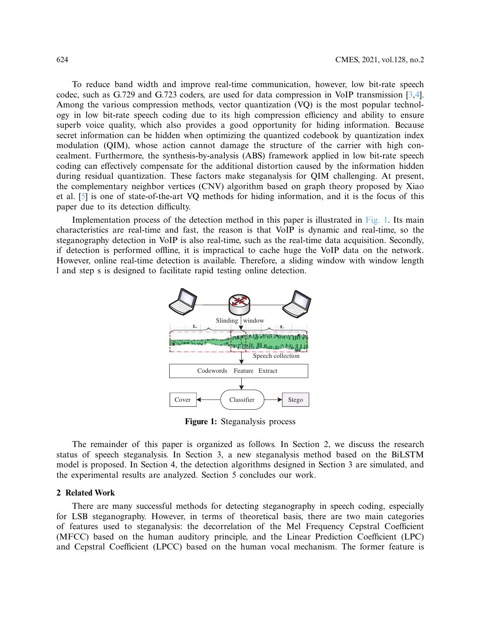To reduce band width and improve real-time communication, however, low bit-rate speech codec, such as G.729 and G.723 coders, are used for data compression in VoIP transmission [\[3](#page-13-2)[,4](#page-13-3)]. Among the various compression methods, vector quantization (VQ) is the most popular technology in low bit-rate speech coding due to its high compression efficiency and ability to ensure superb voice quality, which also provides a good opportunity for hiding information. Because secret information can be hidden when optimizing the quantized codebook by quantization index modulation (QIM), whose action cannot damage the structure of the carrier with high concealment. Furthermore, the synthesis-by-analysis (ABS) framework applied in low bit-rate speech coding can effectively compensate for the additional distortion caused by the information hidden during residual quantization. These factors make steganalysis for QIM challenging. At present, the complementary neighbor vertices (CNV) algorithm based on graph theory proposed by Xiao et al. [\[5\]](#page-13-4) is one of state-of-the-art VQ methods for hiding information, and it is the focus of this paper due to its detection difficulty.

Implementation process of the detection method in this paper is illustrated in [Fig. 1.](#page-1-0) Its main characteristics are real-time and fast, the reason is that VoIP is dynamic and real-time, so the steganography detection in VoIP is also real-time, such as the real-time data acquisition. Secondly, if detection is performed offline, it is impractical to cache huge the VoIP data on the network. However, online real-time detection is available. Therefore, a sliding window with window length l and step s is designed to facilitate rapid testing online detection.



<span id="page-1-0"></span>**Figure 1:** Steganalysis process

The remainder of this paper is organized as follows. In Section 2, we discuss the research status of speech steganalysis. In Section 3, a new steganalysis method based on the BiLSTM model is proposed. In Section 4, the detection algorithms designed in Section 3 are simulated, and the experimental results are analyzed. Section 5 concludes our work.

#### **2 Related Work**

There are many successful methods for detecting steganography in speech coding, especially for LSB steganography. However, in terms of theoretical basis, there are two main categories of features used to steganalysis: the decorrelation of the Mel Frequency Cepstral Coefficient (MFCC) based on the human auditory principle, and the Linear Prediction Coefficient (LPC) and Cepstral Coefficient (LPCC) based on the human vocal mechanism. The former feature is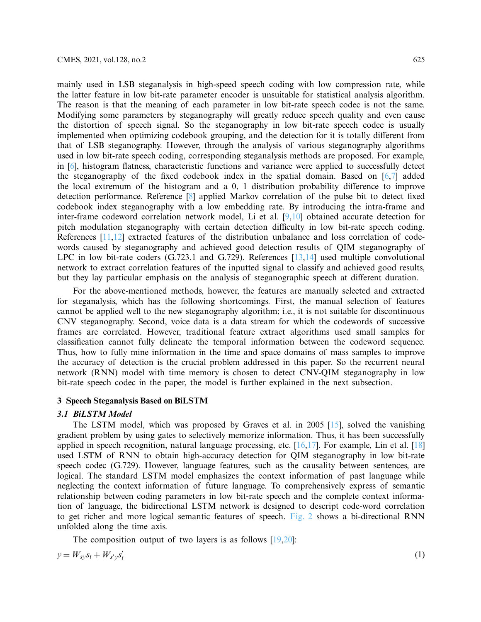mainly used in LSB steganalysis in high-speed speech coding with low compression rate, while the latter feature in low bit-rate parameter encoder is unsuitable for statistical analysis algorithm. The reason is that the meaning of each parameter in low bit-rate speech codec is not the same. Modifying some parameters by steganography will greatly reduce speech quality and even cause the distortion of speech signal. So the steganography in low bit-rate speech codec is usually implemented when optimizing codebook grouping, and the detection for it is totally different from that of LSB steganography. However, through the analysis of various steganography algorithms used in low bit-rate speech coding, corresponding steganalysis methods are proposed. For example, in [\[6\]](#page-13-5), histogram flatness, characteristic functions and variance were applied to successfully detect the steganography of the fixed codebook index in the spatial domain. Based on [\[6](#page-13-5)[,7\]](#page-13-6) added the local extremum of the histogram and a 0, 1 distribution probability difference to improve detection performance. Reference [\[8\]](#page-13-7) applied Markov correlation of the pulse bit to detect fixed codebook index steganography with a low embedding rate. By introducing the intra-frame and inter-frame codeword correlation network model, Li et al. [\[9](#page-13-8)[,10\]](#page-13-9) obtained accurate detection for pitch modulation steganography with certain detection difficulty in low bit-rate speech coding. References [\[11](#page-13-10)[,12\]](#page-13-11) extracted features of the distribution unbalance and loss correlation of codewords caused by steganography and achieved good detection results of QIM steganography of LPC in low bit-rate coders (G.723.1 and G.729). References [\[13](#page-13-12)[,14\]](#page-13-13) used multiple convolutional network to extract correlation features of the inputted signal to classify and achieved good results, but they lay particular emphasis on the analysis of steganographic speech at different duration.

For the above-mentioned methods, however, the features are manually selected and extracted for steganalysis, which has the following shortcomings. First, the manual selection of features cannot be applied well to the new steganography algorithm; i.e., it is not suitable for discontinuous CNV steganography. Second, voice data is a data stream for which the codewords of successive frames are correlated. However, traditional feature extract algorithms used small samples for classification cannot fully delineate the temporal information between the codeword sequence. Thus, how to fully mine information in the time and space domains of mass samples to improve the accuracy of detection is the crucial problem addressed in this paper. So the recurrent neural network (RNN) model with time memory is chosen to detect CNV-QIM steganography in low bit-rate speech codec in the paper, the model is further explained in the next subsection.

## **3 Speech Steganalysis Based on BiLSTM**

### *3.1 BiLSTM Model*

The LSTM model, which was proposed by Graves et al. in 2005 [\[15\]](#page-13-14), solved the vanishing gradient problem by using gates to selectively memorize information. Thus, it has been successfully applied in speech recognition, natural language processing, etc.  $[16, 17]$  $[16, 17]$ . For example, Lin et al.  $[18]$  $[18]$ used LSTM of RNN to obtain high-accuracy detection for QIM steganography in low bit-rate speech codec (G.729). However, language features, such as the causality between sentences, are logical. The standard LSTM model emphasizes the context information of past language while neglecting the context information of future language. To comprehensively express of semantic relationship between coding parameters in low bit-rate speech and the complete context information of language, the bidirectional LSTM network is designed to descript code-word correlation to get richer and more logical semantic features of speech. [Fig. 2](#page-3-0) shows a bi-directional RNN unfolded along the time axis.

The composition output of two layers is as follows  $[19,20]$  $[19,20]$  $[19,20]$ :

$$
y = W_{sy} s_t + W_{s'y} s'_t \tag{1}
$$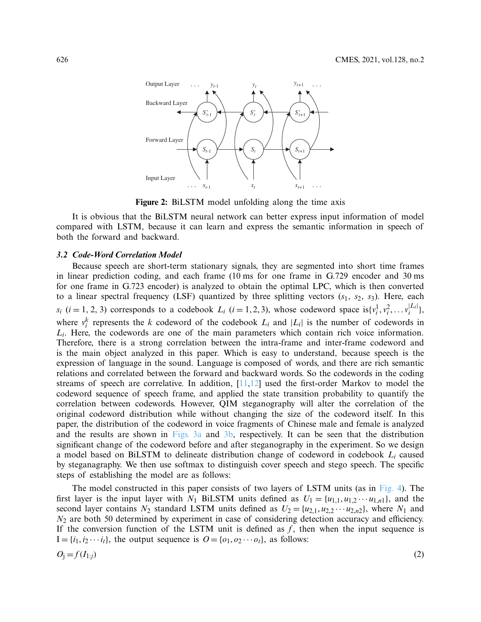

<span id="page-3-0"></span>**Figure 2:** BiLSTM model unfolding along the time axis

It is obvious that the BiLSTM neural network can better express input information of model compared with LSTM, because it can learn and express the semantic information in speech of both the forward and backward.

## *3.2 Code-Word Correlation Model*

Because speech are short-term stationary signals, they are segmented into short time frames in linear prediction coding, and each frame (10 ms for one frame in G.729 encoder and 30 ms for one frame in G.723 encoder) is analyzed to obtain the optimal LPC, which is then converted to a linear spectral frequency (LSF) quantized by three splitting vectors  $(s_1, s_2, s_3)$ . Here, each  $s_i$  (*i* = 1, 2, 3) corresponds to a codebook  $L_i$  (*i* = 1, 2, 3), whose codeword space is $\{v_i^1, v_i^2, \ldots v_i^{|L_i|}\},$ where  $v_i^k$  represents the *k* codeword of the codebook  $L_i$  and  $|L_i|$  is the number of codewords in *Li*. Here, the codewords are one of the main parameters which contain rich voice information. Therefore, there is a strong correlation between the intra-frame and inter-frame codeword and is the main object analyzed in this paper. Which is easy to understand, because speech is the expression of language in the sound. Language is composed of words, and there are rich semantic relations and correlated between the forward and backward words. So the codewords in the coding streams of speech are correlative. In addition,  $[11,12]$  $[11,12]$  used the first-order Markov to model the codeword sequence of speech frame, and applied the state transition probability to quantify the correlation between codewords. However, QIM steganography will alter the correlation of the original codeword distribution while without changing the size of the codeword itself. In this paper, the distribution of the codeword in voice fragments of Chinese male and female is analyzed and the results are shown in [Figs. 3a](#page-4-0) and [3b,](#page-4-0) respectively. It can be seen that the distribution significant change of the codeword before and after steganography in the experiment. So we design a model based on BiLSTM to delineate distribution change of codeword in codebook *Li* caused by steganagraphy. We then use softmax to distinguish cover speech and stego speech. The specific steps of establishing the model are as follows:

The model constructed in this paper consists of two layers of LSTM units (as in [Fig. 4\)](#page-4-1). The first layer is the input layer with *N*<sub>1</sub> BiLSTM units defined as  $U_1 = \{u_{1,1}, u_{1,2} \cdots u_{1,n}\}$ , and the second layer contains  $N_2$  standard LSTM units defined as  $U_2 = \{u_{2,1}, u_{2,2} \cdots u_{2,n2}\}$ , where  $N_1$  and  $N_2$  are both 50 determined by experiment in case of considering detection accuracy and efficiency. If the conversion function of the LSTM unit is defined as  $f$ , then when the input sequence is  $I = \{i_1, i_2 \cdots i_t\}$ , the output sequence is  $O = \{o_1, o_2 \cdots o_t\}$ , as follows:

$$
O_j = f(I_{1:j})
$$
\n<sup>(2)</sup>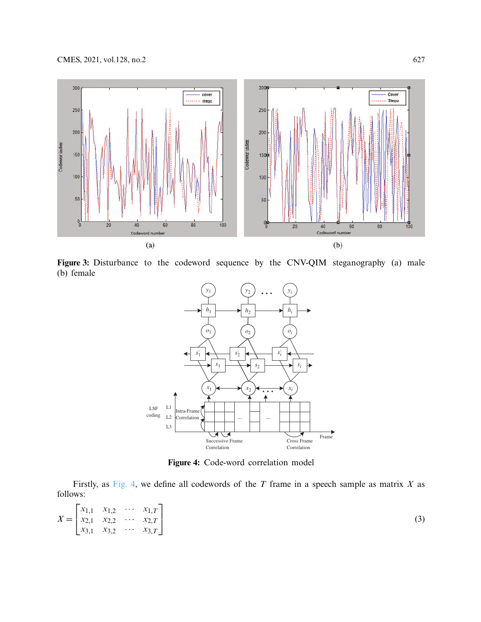

**Figure 3:** Disturbance to the codeword sequence by the CNV-QIM steganography (a) male (b) female

<span id="page-4-0"></span>

<span id="page-4-1"></span>**Figure 4:** Code-word correlation model

Firstly, as [Fig. 4,](#page-4-1) we define all codewords of the *T* frame in a speech sample as matrix *X* as follows:

$$
X = \begin{bmatrix} x_{1,1} & x_{1,2} & \cdots & x_{1,T} \\ x_{2,1} & x_{2,2} & \cdots & x_{2,T} \\ x_{3,1} & x_{3,2} & \cdots & x_{3,T} \end{bmatrix}
$$
 (3)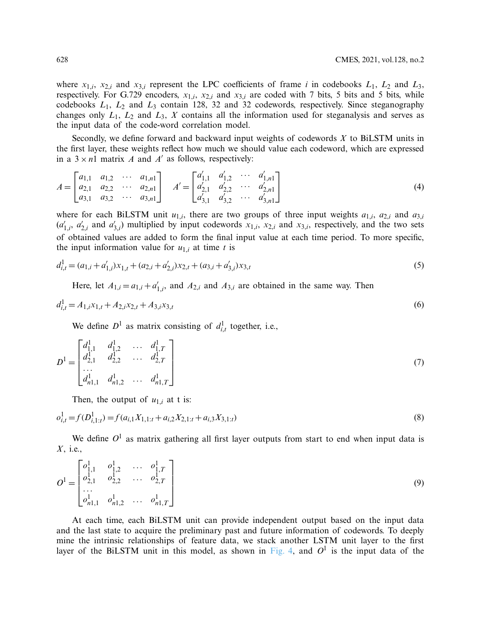where  $x_{1,i}$ ,  $x_{2,i}$  and  $x_{3,i}$  represent the LPC coefficients of frame *i* in codebooks  $L_1$ ,  $L_2$  and  $L_3$ , respectively. For G.729 encoders,  $x_{1,i}$ ,  $x_{2,i}$  and  $x_{3,i}$  are coded with 7 bits, 5 bits and 5 bits, while codebooks *L*1, *L*<sup>2</sup> and *L*<sup>3</sup> contain 128, 32 and 32 codewords, respectively. Since steganography changes only  $L_1$ ,  $L_2$  and  $L_3$ ,  $X$  contains all the information used for steganalysis and serves as the input data of the code-word correlation model.

Secondly, we define forward and backward input weights of codewords *X* to BiLSTM units in the first layer, these weights reflect how much we should value each codeword, which are expressed in a  $3 \times n1$  matrix *A* and *A'* as follows, respectively:

$$
A = \begin{bmatrix} a_{1,1} & a_{1,2} & \cdots & a_{1,n1} \\ a_{2,1} & a_{2,2} & \cdots & a_{2,n1} \\ a_{3,1} & a_{3,2} & \cdots & a_{3,n1} \end{bmatrix} \quad A' = \begin{bmatrix} a'_{1,1} & a'_{1,2} & \cdots & a'_{1,n1} \\ a'_{2,1} & a'_{2,2} & \cdots & a'_{2,n1} \\ a'_{3,1} & a'_{3,2} & \cdots & a'_{3,n1} \end{bmatrix}
$$
 (4)

where for each BiLSTM unit  $u_{1,i}$ , there are two groups of three input weights  $a_{1,i}$ ,  $a_{2,i}$  and  $a_{3,i}$  $(a'_{1,i}, a'_{2,i}$  and  $a'_{3,i}$ ) multiplied by input codewords  $x_{1,i}, x_{2,i}$  and  $x_{3,i}$ , respectively, and the two sets of obtained values are added to form the final input value at each time period. To more specific, the input information value for  $u_{1,i}$  at time *t* is

$$
d_{i,t}^1 = (a_{1,i} + a'_{1,i})x_{1,t} + (a_{2,i} + a'_{2,i})x_{2,t} + (a_{3,i} + a'_{3,i})x_{3,t}
$$
\n<sup>(5)</sup>

Here, let  $A_{1,i} = a_{1,i} + a'_{1,i}$ , and  $A_{2,i}$  and  $A_{3,i}$  are obtained in the same way. Then

$$
d_{i,t}^1 = A_{1,i}x_{1,t} + A_{2,i}x_{2,t} + A_{3,i}x_{3,t}
$$
\n<sup>(6)</sup>

We define  $D^1$  as matrix consisting of  $d_{i,t}^1$  together, i.e.,

$$
D^{1} = \begin{bmatrix} d_{1,1}^{1} & d_{1,2}^{1} & \dots & d_{1,T}^{1} \\ d_{2,1}^{1} & d_{2,2}^{1} & \dots & d_{2,T}^{1} \\ \dots & \vdots & \vdots & \vdots \\ d_{n1,1}^{1} & d_{n1,2}^{1} & \dots & d_{n1,T}^{1} \end{bmatrix}
$$
(7)

Then, the output of  $u_{1,i}$  at t is:

$$
o_{i,t}^1 = f(D_{i,1:t}^1) = f(a_{i,1}X_{1,1:t} + a_{i,2}X_{2,1:t} + a_{i,3}X_{3,1:t})
$$
\n(8)

<span id="page-5-0"></span>We define  $O^1$  as matrix gathering all first layer outputs from start to end when input data is *X*, i.e.,

$$
O^{1} = \begin{bmatrix} o_{1,1}^{1} & o_{1,2}^{1} & \dots & o_{1,T}^{1} \\ o_{2,1}^{1} & o_{2,2}^{1} & \dots & o_{2,T}^{1} \\ \dots & \vdots & \vdots & \vdots \\ o_{n1,1}^{1} & o_{n1,2}^{1} & \dots & o_{n1,T}^{1} \end{bmatrix}
$$
 (9)

At each time, each BiLSTM unit can provide independent output based on the input data and the last state to acquire the preliminary past and future information of codewords. To deeply mine the intrinsic relationships of feature data, we stack another LSTM unit layer to the first layer of the BiLSTM unit in this model, as shown in [Fig. 4,](#page-4-1) and  $O<sup>1</sup>$  is the input data of the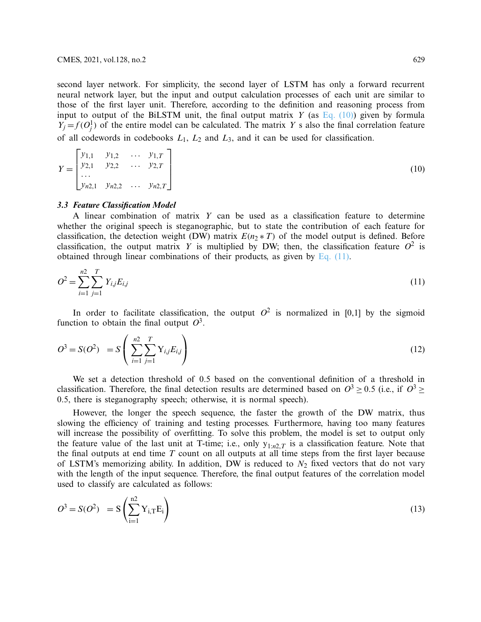second layer network. For simplicity, the second layer of LSTM has only a forward recurrent neural network layer, but the input and output calculation processes of each unit are similar to those of the first layer unit. Therefore, according to the definition and reasoning process from input to output of the BiLSTM unit, the final output matrix *Y* (as [Eq. \(10\)\)](#page-5-0) given by formula  $Y_j = f(O_j^1)$  of the entire model can be calculated. The matrix *Y* s also the final correlation feature of all codewords in codebooks *L*1, *L*<sup>2</sup> and *L*3, and it can be used for classification.

|  |  | $Y = \begin{bmatrix} y_{1,1} & y_{1,2} & \dots & y_{1,T} \\ y_{2,1} & y_{2,2} & \dots & y_{2,T} \\ \dots & & & & \\ y_{n2,1} & y_{n2,2} & \dots & y_{n2,T} \end{bmatrix}$ |
|--|--|---------------------------------------------------------------------------------------------------------------------------------------------------------------------------|
|  |  |                                                                                                                                                                           |

### *3.3 Feature Classification Model*

A linear combination of matrix *Y* can be used as a classification feature to determine whether the original speech is steganographic, but to state the contribution of each feature for classification, the detection weight (DW) matrix  $E(n_2 * T)$  of the model output is defined. Before classification, the output matrix *Y* is multiplied by DW; then, the classification feature  $O^2$  is obtained through linear combinations of their products, as given by [Eq. \(11\).](#page-6-0)

<span id="page-6-0"></span>
$$
O^2 = \sum_{i=1}^{n2} \sum_{j=1}^{T} Y_{i,j} E_{i,j}
$$
 (11)

In order to facilitate classification, the output  $O^2$  is normalized in [0,1] by the sigmoid function to obtain the final output  $O^3$ .

$$
O^3 = S(O^2) = S\left(\sum_{i=1}^{n2} \sum_{j=1}^{T} Y_{i,j} E_{i,j}\right)
$$
 (12)

We set a detection threshold of 0.5 based on the conventional definition of a threshold in classification. Therefore, the final detection results are determined based on  $O^3 > 0.5$  (i.e., if  $O^3 >$ 0.5, there is steganography speech; otherwise, it is normal speech).

However, the longer the speech sequence, the faster the growth of the DW matrix, thus slowing the efficiency of training and testing processes. Furthermore, having too many features will increase the possibility of overfitting. To solve this problem, the model is set to output only the feature value of the last unit at T-time; i.e., only  $y_{1:n2,T}$  is a classification feature. Note that the final outputs at end time *T* count on all outputs at all time steps from the first layer because of LSTM's memorizing ability. In addition, DW is reduced to  $N_2$  fixed vectors that do not vary with the length of the input sequence. Therefore, the final output features of the correlation model used to classify are calculated as follows:

$$
O3 = S(O2) = S\left(\sum_{i=1}^{n2} Y_{i,T} E_i\right)
$$
\n(13)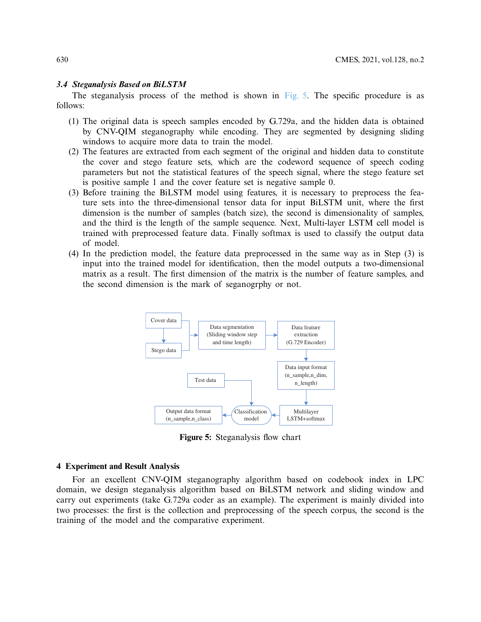## *3.4 Steganalysis Based on BiLSTM*

The steganalysis process of the method is shown in [Fig. 5.](#page-7-0) The specific procedure is as follows:

- (1) The original data is speech samples encoded by G.729a, and the hidden data is obtained by CNV-QIM steganography while encoding. They are segmented by designing sliding windows to acquire more data to train the model.
- (2) The features are extracted from each segment of the original and hidden data to constitute the cover and stego feature sets, which are the codeword sequence of speech coding parameters but not the statistical features of the speech signal, where the stego feature set is positive sample 1 and the cover feature set is negative sample 0.
- (3) Before training the BiLSTM model using features, it is necessary to preprocess the feature sets into the three-dimensional tensor data for input BiLSTM unit, where the first dimension is the number of samples (batch size), the second is dimensionality of samples, and the third is the length of the sample sequence. Next, Multi-layer LSTM cell model is trained with preprocessed feature data. Finally softmax is used to classify the output data of model.
- (4) In the prediction model, the feature data preprocessed in the same way as in Step (3) is input into the trained model for identification, then the model outputs a two-dimensional matrix as a result. The first dimension of the matrix is the number of feature samples, and the second dimension is the mark of seganogrphy or not.



<span id="page-7-0"></span>**Figure 5:** Steganalysis flow chart

## **4 Experiment and Result Analysis**

For an excellent CNV-QIM steganography algorithm based on codebook index in LPC domain, we design steganalysis algorithm based on BiLSTM network and sliding window and carry out experiments (take G.729a coder as an example). The experiment is mainly divided into two processes: the first is the collection and preprocessing of the speech corpus, the second is the training of the model and the comparative experiment.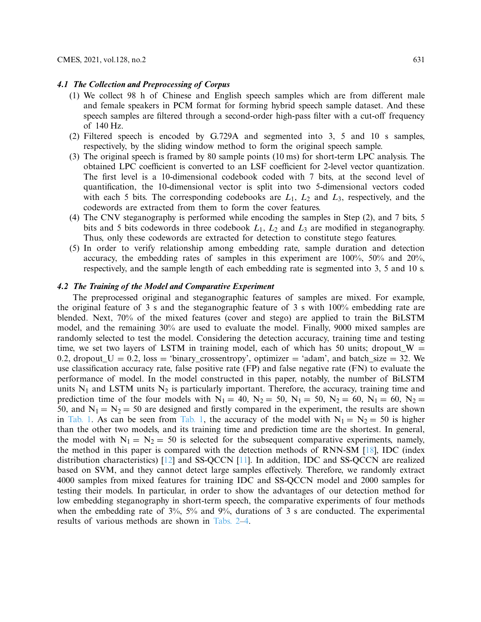#### *4.1 The Collection and Preprocessing of Corpus*

- (1) We collect 98 h of Chinese and English speech samples which are from different male and female speakers in PCM format for forming hybrid speech sample dataset. And these speech samples are filtered through a second-order high-pass filter with a cut-off frequency of 140 Hz.
- (2) Filtered speech is encoded by G.729A and segmented into 3, 5 and 10 s samples, respectively, by the sliding window method to form the original speech sample.
- (3) The original speech is framed by 80 sample points (10 ms) for short-term LPC analysis. The obtained LPC coefficient is converted to an LSF coefficient for 2-level vector quantization. The first level is a 10-dimensional codebook coded with 7 bits, at the second level of quantification, the 10-dimensional vector is split into two 5-dimensional vectors coded with each 5 bits. The corresponding codebooks are  $L_1$ ,  $L_2$  and  $L_3$ , respectively, and the codewords are extracted from them to form the cover features.
- (4) The CNV steganography is performed while encoding the samples in Step (2), and 7 bits, 5 bits and 5 bits codewords in three codebook *L*1, *L*<sup>2</sup> and *L*<sup>3</sup> are modified in steganography. Thus, only these codewords are extracted for detection to constitute stego features.
- (5) In order to verify relationship among embedding rate, sample duration and detection accuracy, the embedding rates of samples in this experiment are 100%, 50% and 20%, respectively, and the sample length of each embedding rate is segmented into 3, 5 and 10 s.

# *4.2 The Training of the Model and Comparative Experiment*

The preprocessed original and steganographic features of samples are mixed. For example, the original feature of 3 s and the steganographic feature of 3 s with 100% embedding rate are blended. Next, 70% of the mixed features (cover and stego) are applied to train the BiLSTM model, and the remaining 30% are used to evaluate the model. Finally, 9000 mixed samples are randomly selected to test the model. Considering the detection accuracy, training time and testing time, we set two layers of LSTM in training model, each of which has 50 units; dropout\_W  $=$ 0.2, dropout\_U = 0.2, loss = 'binary\_crossentropy', optimizer = 'adam', and batch\_size = 32. We use classification accuracy rate, false positive rate (FP) and false negative rate (FN) to evaluate the performance of model. In the model constructed in this paper, notably, the number of BiLSTM units  $N_1$  and LSTM units  $N_2$  is particularly important. Therefore, the accuracy, training time and prediction time of the four models with  $N_1 = 40$ ,  $N_2 = 50$ ,  $N_1 = 50$ ,  $N_2 = 60$ ,  $N_1 = 60$ ,  $N_2 =$ 50, and  $N_1 = N_2 = 50$  are designed and firstly compared in the experiment, the results are shown in [Tab. 1.](#page-9-0) As can be seen from [Tab. 1,](#page-9-0) the accuracy of the model with  $N_1 = N_2 = 50$  is higher than the other two models, and its training time and prediction time are the shortest. In general, the model with  $N_1 = N_2 = 50$  is selected for the subsequent comparative experiments, namely, the method in this paper is compared with the detection methods of RNN-SM [\[18](#page-14-1)], IDC (index distribution characteristics) [\[12\]](#page-13-11) and SS-QCCN [\[11\]](#page-13-10). In addition, IDC and SS-QCCN are realized based on SVM, and they cannot detect large samples effectively. Therefore, we randomly extract 4000 samples from mixed features for training IDC and SS-QCCN model and 2000 samples for testing their models. In particular, in order to show the advantages of our detection method for low embedding steganography in short-term speech, the comparative experiments of four methods when the embedding rate of 3%, 5% and 9%, durations of 3 s are conducted. The experimental results of various methods are shown in [Tabs. 2–](#page-9-1)[4.](#page-11-0)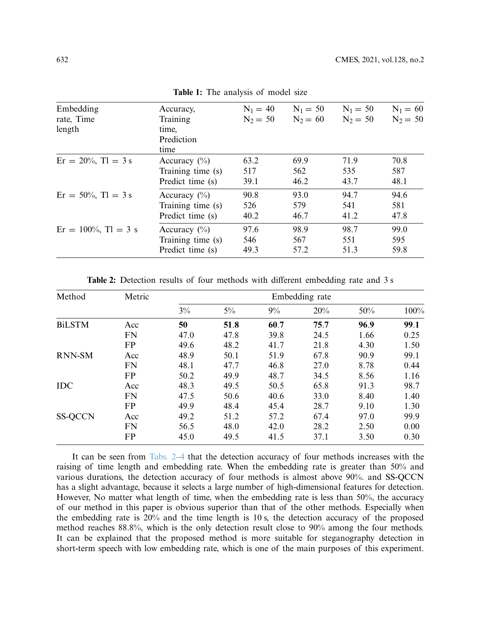<span id="page-9-0"></span>

| Embedding                 | Accuracy,         | $N_1 = 40$ | $N_1 = 50$ | $N_1 = 50$ | $N_1 = 60$ |
|---------------------------|-------------------|------------|------------|------------|------------|
| rate, Time                | Training          | $N_2 = 50$ | $N_2 = 60$ | $N_2 = 50$ | $N_2 = 50$ |
| length                    | time,             |            |            |            |            |
|                           | Prediction        |            |            |            |            |
|                           | time              |            |            |            |            |
| $Er = 20\%$ , $Tl = 3$ s  | Accuracy $(\% )$  | 63.2       | 69.9       | 71.9       | 70.8       |
|                           | Training time (s) | 517        | 562        | 535        | 587        |
|                           | Predict time (s)  | 39.1       | 46.2       | 43.7       | 48.1       |
| $Er = 50\%$ , $Tl = 3 s$  | Accuracy $(\% )$  | 90.8       | 93.0       | 94.7       | 94.6       |
|                           | Training time (s) | 526        | 579        | 541        | 581        |
|                           | Predict time (s)  | 40.2       | 46.7       | 41.2       | 47.8       |
| $Er = 100\%$ , $Tl = 3$ s | Accuracy $(\% )$  | 97.6       | 98.9       | 98.7       | 99.0       |
|                           | Training time (s) | 546        | 567        | 551        | 595        |
|                           | Predict time (s)  | 49.3       | 57.2       | 51.3       | 59.8       |

**Table 1:** The analysis of model size

**Table 2:** Detection results of four methods with different embedding rate and 3 s

<span id="page-9-1"></span>

| Method         | Metric    | Embedding rate |       |      |      |      |      |
|----------------|-----------|----------------|-------|------|------|------|------|
|                |           | 3%             | $5\%$ | 9%   | 20%  | 50%  | 100% |
| <b>BiLSTM</b>  | Acc       | 50             | 51.8  | 60.7 | 75.7 | 96.9 | 99.1 |
|                | <b>FN</b> | 47.0           | 47.8  | 39.8 | 24.5 | 1.66 | 0.25 |
|                | FP        | 49.6           | 48.2  | 41.7 | 21.8 | 4.30 | 1.50 |
| <b>RNN-SM</b>  | Acc       | 48.9           | 50.1  | 51.9 | 67.8 | 90.9 | 99.1 |
|                | <b>FN</b> | 48.1           | 47.7  | 46.8 | 27.0 | 8.78 | 0.44 |
|                | <b>FP</b> | 50.2           | 49.9  | 48.7 | 34.5 | 8.56 | 1.16 |
| <b>IDC</b>     | Acc       | 48.3           | 49.5  | 50.5 | 65.8 | 91.3 | 98.7 |
|                | <b>FN</b> | 47.5           | 50.6  | 40.6 | 33.0 | 8.40 | 1.40 |
|                | <b>FP</b> | 49.9           | 48.4  | 45.4 | 28.7 | 9.10 | 1.30 |
| <b>SS-QCCN</b> | Acc       | 49.2           | 51.2  | 57.2 | 67.4 | 97.0 | 99.9 |
|                | <b>FN</b> | 56.5           | 48.0  | 42.0 | 28.2 | 2.50 | 0.00 |
|                | <b>FP</b> | 45.0           | 49.5  | 41.5 | 37.1 | 3.50 | 0.30 |

It can be seen from [Tabs. 2–](#page-9-1)[4](#page-11-0) that the detection accuracy of four methods increases with the raising of time length and embedding rate. When the embedding rate is greater than 50% and various durations, the detection accuracy of four methods is almost above 90%. and SS-QCCN has a slight advantage, because it selects a large number of high-dimensional features for detection. However, No matter what length of time, when the embedding rate is less than 50%, the accuracy of our method in this paper is obvious superior than that of the other methods. Especially when the embedding rate is 20% and the time length is 10 s, the detection accuracy of the proposed method reaches 88.8%, which is the only detection result close to 90% among the four methods. It can be explained that the proposed method is more suitable for steganography detection in short-term speech with low embedding rate, which is one of the main purposes of this experiment.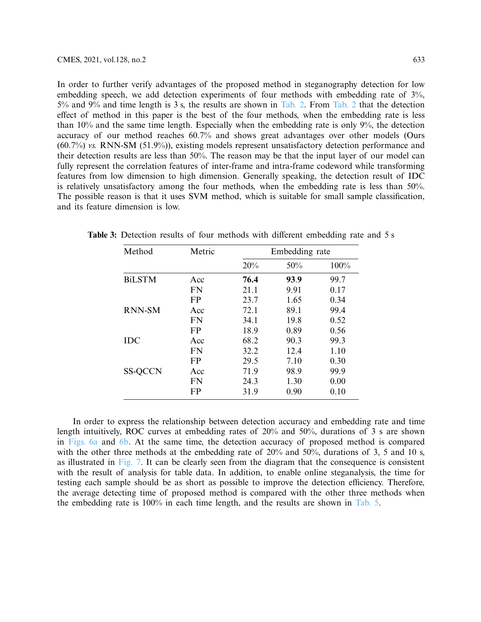In order to further verify advantages of the proposed method in steganography detection for low embedding speech, we add detection experiments of four methods with embedding rate of 3%, 5% and 9% and time length is 3 s, the results are shown in [Tab. 2.](#page-9-1) From [Tab. 2](#page-9-1) that the detection effect of method in this paper is the best of the four methods, when the embedding rate is less than 10% and the same time length. Especially when the embedding rate is only 9%, the detection accuracy of our method reaches 60.7% and shows great advantages over other models (Ours (60.7%) *vs.* RNN-SM (51.9%)), existing models represent unsatisfactory detection performance and their detection results are less than 50%. The reason may be that the input layer of our model can fully represent the correlation features of inter-frame and intra-frame codeword while transforming features from low dimension to high dimension. Generally speaking, the detection result of IDC is relatively unsatisfactory among the four methods, when the embedding rate is less than 50%. The possible reason is that it uses SVM method, which is suitable for small sample classification, and its feature dimension is low.

| Method         | Metric | Embedding rate |      |      |
|----------------|--------|----------------|------|------|
|                |        | 20%            | 50%  | 100% |
| <b>BiLSTM</b>  | Acc    | 76.4           | 93.9 | 99.7 |
|                | FN     | 21.1           | 9.91 | 0.17 |
|                | FP     | 23.7           | 1.65 | 0.34 |
| <b>RNN-SM</b>  | Acc    | 72.1           | 89.1 | 99.4 |
|                | FN     | 34.1           | 19.8 | 0.52 |
|                | FP     | 18.9           | 0.89 | 0.56 |
| IDC            | Acc    | 68.2           | 90.3 | 99.3 |
|                | FN     | 32.2           | 12.4 | 1.10 |
|                | FP     | 29.5           | 7.10 | 0.30 |
| <b>SS-QCCN</b> | Acc    | 71.9           | 98.9 | 99.9 |
|                | FN     | 24.3           | 1.30 | 0.00 |
|                | FP     | 31.9           | 0.90 | 0.10 |

**Table 3:** Detection results of four methods with different embedding rate and 5 s

In order to express the relationship between detection accuracy and embedding rate and time length intuitively, ROC curves at embedding rates of 20% and 50%, durations of 3 s are shown in [Figs. 6a](#page-11-1) and [6b.](#page-11-1) At the same time, the detection accuracy of proposed method is compared with the other three methods at the embedding rate of 20% and 50%, durations of 3, 5 and 10 s, as illustrated in [Fig. 7.](#page-12-0) It can be clearly seen from the diagram that the consequence is consistent with the result of analysis for table data. In addition, to enable online steganalysis, the time for testing each sample should be as short as possible to improve the detection efficiency. Therefore, the average detecting time of proposed method is compared with the other three methods when the embedding rate is 100% in each time length, and the results are shown in [Tab. 5.](#page-12-1)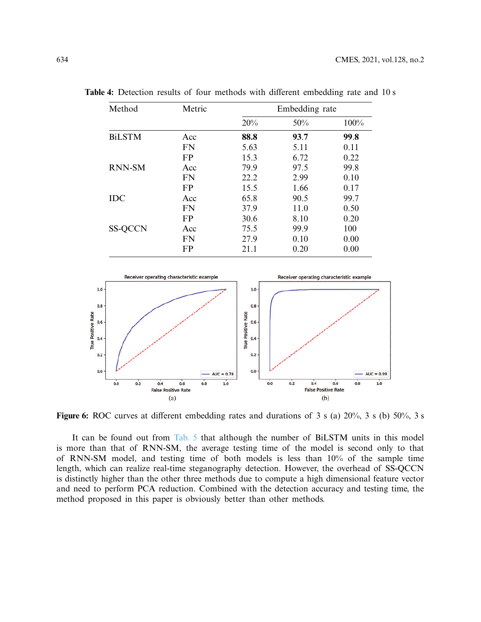| Method         | Metric    | Embedding rate |      |      |  |
|----------------|-----------|----------------|------|------|--|
|                |           | 20%            | 50%  | 100% |  |
| <b>BiLSTM</b>  | Acc       | 88.8           | 93.7 | 99.8 |  |
|                | <b>FN</b> | 5.63           | 5.11 | 0.11 |  |
|                | <b>FP</b> | 15.3           | 6.72 | 0.22 |  |
| <b>RNN-SM</b>  | Acc       | 79.9           | 97.5 | 99.8 |  |
|                | <b>FN</b> | 22.2           | 2.99 | 0.10 |  |
|                | <b>FP</b> | 15.5           | 1.66 | 0.17 |  |
| <b>IDC</b>     | Acc       | 65.8           | 90.5 | 99.7 |  |
|                | <b>FN</b> | 37.9           | 11.0 | 0.50 |  |
|                | <b>FP</b> | 30.6           | 8.10 | 0.20 |  |
| <b>SS-QCCN</b> | Acc       | 75.5           | 99.9 | 100  |  |
|                | <b>FN</b> | 27.9           | 0.10 | 0.00 |  |
|                | FP        | 21.1           | 0.20 | 0.00 |  |

<span id="page-11-0"></span>**Table 4:** Detection results of four methods with different embedding rate and 10 s



<span id="page-11-1"></span>**Figure 6:** ROC curves at different embedding rates and durations of 3 s (a) 20%, 3 s (b) 50%, 3 s

It can be found out from [Tab. 5](#page-12-1) that although the number of BiLSTM units in this model is more than that of RNN-SM, the average testing time of the model is second only to that of RNN-SM model, and testing time of both models is less than 10% of the sample time length, which can realize real-time steganography detection. However, the overhead of SS-QCCN is distinctly higher than the other three methods due to compute a high dimensional feature vector and need to perform PCA reduction. Combined with the detection accuracy and testing time, the method proposed in this paper is obviously better than other methods.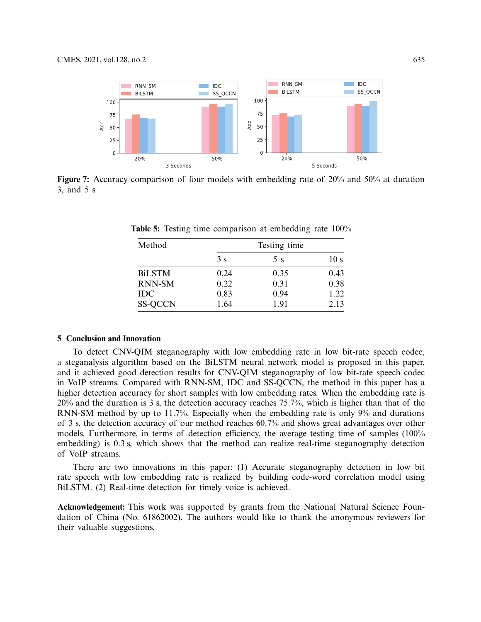

<span id="page-12-1"></span>**Figure 7:** Accuracy comparison of four models with embedding rate of 20% and 50% at duration 3, and 5 s

<span id="page-12-0"></span>

| Method         |      | Testing time |                 |
|----------------|------|--------------|-----------------|
|                | 3s   | 5 s          | 10 <sub>s</sub> |
| <b>BiLSTM</b>  | 0.24 | 0.35         | 0.43            |
| <b>RNN-SM</b>  | 0.22 | 0.31         | 0.38            |
| <b>IDC</b>     | 0.83 | 0.94         | 1.22            |
| <b>SS-QCCN</b> | 1.64 | 1.91         | 2.13            |

**Table 5:** Testing time comparison at embedding rate 100%

## **5 Conclusion and Innovation**

To detect CNV-QIM steganography with low embedding rate in low bit-rate speech codec, a steganalysis algorithm based on the BiLSTM neural network model is proposed in this paper, and it achieved good detection results for CNV-QIM steganography of low bit-rate speech codec in VoIP streams. Compared with RNN-SM, IDC and SS-QCCN, the method in this paper has a higher detection accuracy for short samples with low embedding rates. When the embedding rate is 20% and the duration is 3 s, the detection accuracy reaches 75.7%, which is higher than that of the RNN-SM method by up to 11.7%. Especially when the embedding rate is only 9% and durations of 3 s, the detection accuracy of our method reaches 60.7% and shows great advantages over other models. Furthermore, in terms of detection efficiency, the average testing time of samples (100% embedding) is 0.3 s, which shows that the method can realize real-time steganography detection of VoIP streams.

There are two innovations in this paper: (1) Accurate steganography detection in low bit rate speech with low embedding rate is realized by building code-word correlation model using BiLSTM. (2) Real-time detection for timely voice is achieved.

**Acknowledgement:** This work was supported by grants from the National Natural Science Foundation of China (No. 61862002). The authors would like to thank the anonymous reviewers for their valuable suggestions.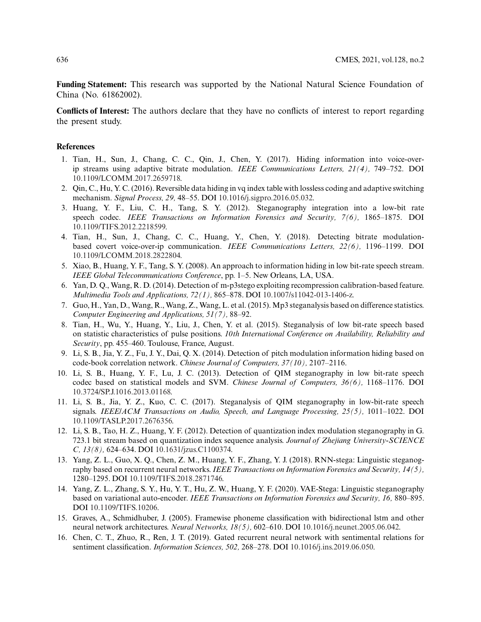**Funding Statement:** This research was supported by the National Natural Science Foundation of China (No. 61862002).

**Conflicts of Interest:** The authors declare that they have no conflicts of interest to report regarding the present study.

## **References**

- <span id="page-13-0"></span>1. Tian, H., Sun, J., Chang, C. C., Qin, J., Chen, Y. (2017). Hiding information into voice-overip streams using adaptive bitrate modulation. *IEEE Communications Letters, 21(4),* 749–752. DOI [10.1109/LCOMM.2017.2659718.](http://dx.doi.org/10.1109/LCOMM.2017.2659718)
- <span id="page-13-1"></span>2. Qin, C., Hu, Y. C. (2016). Reversible data hiding in vq index table with lossless coding and adaptive switching mechanism. *Signal Process, 29,* 48–55. DOI [10.1016/j.sigpro.2016.05.032.](http://dx.doi.org/10.1016/j.sigpro.2016.05.032)
- <span id="page-13-2"></span>3. Huang, Y. F., Liu, C. H., Tang, S. Y. (2012). Steganography integration into a low-bit rate speech codec. *IEEE Transactions on Information Forensics and Security, 7(6),* 1865–1875. DOI [10.1109/TIFS.2012.2218599.](http://dx.doi.org/10.1109/TIFS.2012.2218599)
- <span id="page-13-3"></span>4. Tian, H., Sun, J., Chang, C. C., Huang, Y., Chen, Y. (2018). Detecting bitrate modulationbased covert voice-over-ip communication. *IEEE Communications Letters, 22(6),* 1196–1199. DOI [10.1109/LCOMM.2018.2822804.](http://dx.doi.org/10.1109/LCOMM.2018.2822804)
- <span id="page-13-4"></span>5. Xiao, B., Huang, Y. F., Tang, S. Y. (2008). An approach to information hiding in low bit-rate speech stream. *IEEE Global Telecommunications Conference*, pp. 1–5. New Orleans, LA, USA.
- <span id="page-13-5"></span>6. Yan, D. Q., Wang, R. D. (2014). Detection of m-p3stego exploiting recompression calibration-based feature. *Multimedia Tools and Applications, 72(1),* 865–878. DOI [10.1007/s11042-013-1406-z.](http://dx.doi.org/10.1007/s11042-013-1406-z)
- <span id="page-13-6"></span>7. Guo, H., Yan, D., Wang, R., Wang, Z., Wang, L. et al. (2015).Mp3 steganalysis based on difference statistics. *Computer Engineering and Applications, 51(7),* 88–92.
- <span id="page-13-7"></span>8. Tian, H., Wu, Y., Huang, Y., Liu, J., Chen, Y. et al. (2015). Steganalysis of low bit-rate speech based on statistic characteristics of pulse positions. *10th International Conference on Availability, Reliability and Security*, pp. 455–460. Toulouse, France, August.
- <span id="page-13-8"></span>9. Li, S. B., Jia, Y. Z., Fu, J. Y., Dai, Q. X. (2014). Detection of pitch modulation information hiding based on code-book correlation network. *Chinese Journal of Computers, 37(10),* 2107–2116.
- <span id="page-13-9"></span>10. Li, S. B., Huang, Y. F., Lu, J. C. (2013). Detection of QIM steganography in low bit-rate speech codec based on statistical models and SVM. *Chinese Journal of Computers, 36(6),* 1168–1176. DOI [10.3724/SP.J.1016.2013.01168.](http://dx.doi.org/10.3724/SP.J.1016.2013.01168)
- <span id="page-13-10"></span>11. Li, S. B., Jia, Y. Z., Kuo, C. C. (2017). Steganalysis of QIM steganography in low-bit-rate speech signals. *IEEE/ACM Transactions on Audio, Speech, and Language Processing, 25(5),* 1011–1022. DOI [10.1109/TASLP.2017.2676356.](http://dx.doi.org/10.1109/TASLP.2017.2676356)
- <span id="page-13-11"></span>12. Li, S. B., Tao, H. Z., Huang, Y. F. (2012). Detection of quantization index modulation steganography in G. 723.1 bit stream based on quantization index sequence analysis. *Journal of Zhejiang University-SCIENCE C, 13(8),* 624–634. DOI [10.1631/jzus.C1100374.](http://dx.doi.org/10.1631/jzus.C1100374)
- <span id="page-13-12"></span>13. Yang, Z. L., Guo, X. Q., Chen, Z. M., Huang, Y. F., Zhang, Y. J. (2018). RNN-stega: Linguistic steganography based on recurrent neural networks. *IEEE Transactions on Information Forensics and Security, 14(5),* 1280–1295. DOI [10.1109/TIFS.2018.2871746.](http://dx.doi.org/10.1109/TIFS.2018.2871746)
- <span id="page-13-13"></span>14. Yang, Z. L., Zhang, S. Y., Hu, Y. T., Hu, Z. W., Huang, Y. F. (2020). VAE-Stega: Linguistic steganography based on variational auto-encoder. *IEEE Transactions on Information Forensics and Security, 16,* 880–895. DOI [10.1109/TIFS.10206.](http://dx.doi.org/10.1109/TIFS.10206)
- <span id="page-13-14"></span>15. Graves, A., Schmidhuber, J. (2005). Framewise phoneme classification with bidirectional lstm and other neural network architectures. *Neural Networks, 18(5),* 602–610. DOI [10.1016/j.neunet.2005.06.042.](http://dx.doi.org/10.1016/j.neunet.2005.06.042)
- <span id="page-13-15"></span>16. Chen, C. T., Zhuo, R., Ren, J. T. (2019). Gated recurrent neural network with sentimental relations for sentiment classification. *Information Sciences, 502,* 268–278. DOI [10.1016/j.ins.2019.06.050.](http://dx.doi.org/10.1016/j.ins.2019.06.050)